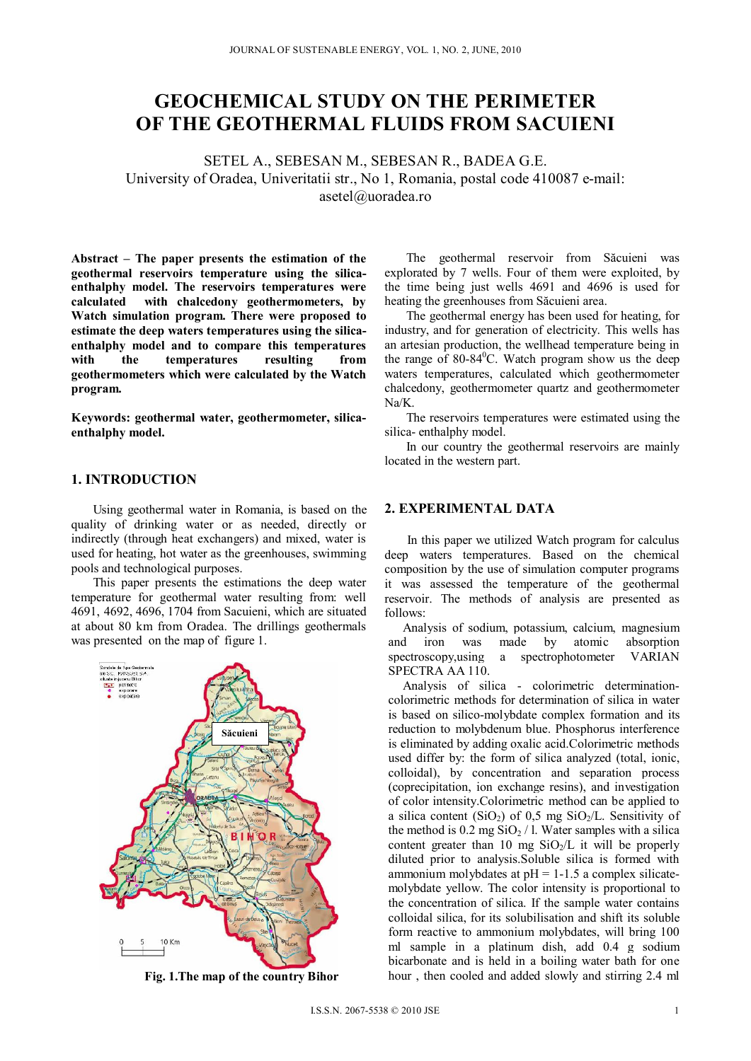# **GEOCHEMICAL STUDY ON THE PERIMETER OF THE GEOTHERMAL FLUIDS FROM SACUIENI**

SETEL A., SEBESAN M., SEBESAN R., BADEA G.E. University of Oradea, Univeritatii str., No 1, Romania, postal code 410087 e-mail: asetel@uoradea.ro

**Abstract – The paper presents the estimation of the geothermal reservoirs temperature using the silicaenthalphy model. The reservoirs temperatures were calculated with chalcedony geothermometers, by Watch simulation program. There were proposed to estimate the deep waters temperatures using the silicaenthalphy model and to compare this temperatures with the temperatures resulting from geothermometers which were calculated by the Watch program.** 

**Keywords: geothermal water, geothermometer, silicaenthalphy model.** 

## **1. INTRODUCTION**

Using geothermal water in Romania, is based on the quality of drinking water or as needed, directly or indirectly (through heat exchangers) and mixed, water is used for heating, hot water as the greenhouses, swimming pools and technological purposes.

This paper presents the estimations the deep water temperature for geothermal water resulting from: well 4691, 4692, 4696, 1704 from Sacuieni, which are situated at about 80 km from Oradea. The drillings geothermals was presented on the map of figure 1.



**Fig. 1.The map of the country Bihor** 

The geothermal reservoir from Săcuieni was explorated by 7 wells. Four of them were exploited, by the time being just wells 4691 and 4696 is used for heating the greenhouses from Săcuieni area.

The geothermal energy has been used for heating, for industry, and for generation of electricity. This wells has an artesian production, the wellhead temperature being in the range of  $80-84^{\circ}$ C. Watch program show us the deep waters temperatures, calculated which geothermometer chalcedony, geothermometer quartz and geothermometer Na/K.

The reservoirs temperatures were estimated using the silica- enthalphy model.

In our country the geothermal reservoirs are mainly located in the western part.

### **2. EXPERIMENTAL DATA**

In this paper we utilized Watch program for calculus deep waters temperatures. Based on the chemical composition by the use of simulation computer programs it was assessed the temperature of the geothermal reservoir. The methods of analysis are presented as follows:

Analysis of sodium, potassium, calcium, magnesium and iron was made by atomic absorption<br>spectroscopy.using a spectrophotometer VARIAN spectroscopy,using a spectrophotometer SPECTRA AA 110.

Analysis of silica - colorimetric determinationcolorimetric methods for determination of silica in water is based on silico-molybdate complex formation and its reduction to molybdenum blue. Phosphorus interference is eliminated by adding oxalic acid.Colorimetric methods used differ by: the form of silica analyzed (total, ionic, colloidal), by concentration and separation process (coprecipitation, ion exchange resins), and investigation of color intensity.Colorimetric method can be applied to a silica content  $(SiO<sub>2</sub>)$  of 0,5 mg  $SiO<sub>2</sub>/L$ . Sensitivity of the method is  $0.2 \text{ mg SiO}_2 / 1$ . Water samples with a silica content greater than 10 mg  $SiO_2/L$  it will be properly diluted prior to analysis.Soluble silica is formed with ammonium molybdates at  $pH = 1-1.5$  a complex silicatemolybdate yellow. The color intensity is proportional to the concentration of silica. If the sample water contains colloidal silica, for its solubilisation and shift its soluble form reactive to ammonium molybdates, will bring 100 ml sample in a platinum dish, add 0.4 g sodium bicarbonate and is held in a boiling water bath for one hour , then cooled and added slowly and stirring 2.4 ml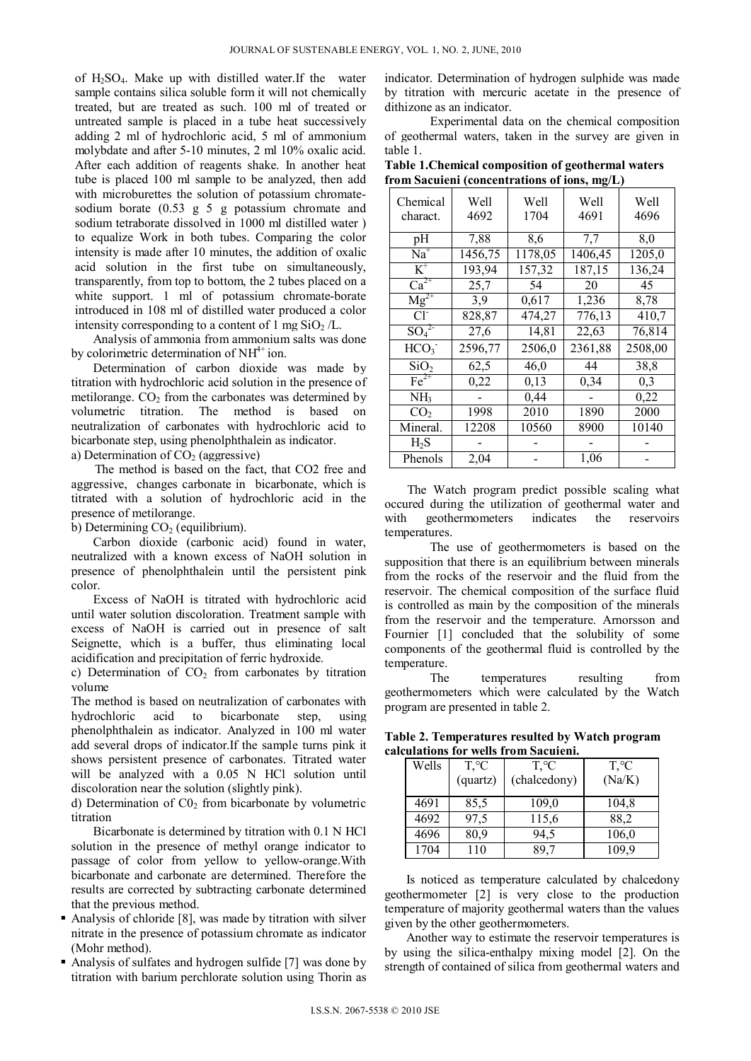of  $H_2SO_4$ . Make up with distilled water. If the water sample contains silica soluble form it will not chemically treated, but are treated as such. 100 ml of treated or untreated sample is placed in a tube heat successively adding 2 ml of hydrochloric acid, 5 ml of ammonium molybdate and after 5-10 minutes, 2 ml 10% oxalic acid. After each addition of reagents shake. In another heat tube is placed 100 ml sample to be analyzed, then add with microburettes the solution of potassium chromatesodium borate  $(0.53 \times 5 \times 5)$  g potassium chromate and sodium tetraborate dissolved in 1000 ml distilled water ) to equalize Work in both tubes. Comparing the color intensity is made after 10 minutes, the addition of oxalic acid solution in the first tube on simultaneously, transparently, from top to bottom, the 2 tubes placed on a white support. 1 ml of potassium chromate-borate introduced in 108 ml of distilled water produced a color intensity corresponding to a content of 1 mg  $SiO<sub>2</sub>/L$ .

Analysis of ammonia from ammonium salts was done by colorimetric determination of  $NH<sup>4+</sup>$  ion.

Determination of carbon dioxide was made by titration with hydrochloric acid solution in the presence of metilorange.  $CO<sub>2</sub>$  from the carbonates was determined by volumetric titration. The method is based on neutralization of carbonates with hydrochloric acid to bicarbonate step, using phenolphthalein as indicator.

a) Determination of  $CO<sub>2</sub>$  (aggressive)

 The method is based on the fact, that CO2 free and aggressive, changes carbonate in bicarbonate, which is titrated with a solution of hydrochloric acid in the presence of metilorange.

b) Determining  $CO<sub>2</sub>$  (equilibrium).

Carbon dioxide (carbonic acid) found in water, neutralized with a known excess of NaOH solution in presence of phenolphthalein until the persistent pink color.

Excess of NaOH is titrated with hydrochloric acid until water solution discoloration. Treatment sample with excess of NaOH is carried out in presence of salt Seignette, which is a buffer, thus eliminating local acidification and precipitation of ferric hydroxide.

c) Determination of  $CO<sub>2</sub>$  from carbonates by titration volume

The method is based on neutralization of carbonates with hydrochloric acid to bicarbonate step, using phenolphthalein as indicator. Analyzed in 100 ml water add several drops of indicator.If the sample turns pink it shows persistent presence of carbonates. Titrated water will be analyzed with a 0.05 N HCl solution until discoloration near the solution (slightly pink).

d) Determination of  $CO<sub>2</sub>$  from bicarbonate by volumetric titration

Bicarbonate is determined by titration with 0.1 N HCl solution in the presence of methyl orange indicator to passage of color from yellow to yellow-orange.With bicarbonate and carbonate are determined. Therefore the results are corrected by subtracting carbonate determined that the previous method.

- Analysis of chloride [8], was made by titration with silver nitrate in the presence of potassium chromate as indicator (Mohr method).
- Analysis of sulfates and hydrogen sulfide [7] was done by titration with barium perchlorate solution using Thorin as

indicator. Determination of hydrogen sulphide was made by titration with mercuric acetate in the presence of dithizone as an indicator.

Experimental data on the chemical composition of geothermal waters, taken in the survey are given in table 1.

**Table 1.Chemical composition of geothermal waters from Sacuieni (concentrations of ions, mg/L)** 

| Chemical                     | Well    | Well    | Well    | Well    |
|------------------------------|---------|---------|---------|---------|
| charact.                     | 4692    | 1704    | 4691    | 4696    |
| рH                           | 7,88    | 8,6     | 7,7     | 8,0     |
| $Na+$                        | 1456,75 | 1178,05 | 1406,45 | 1205,0  |
| $K^+$                        | 193,94  | 157,32  | 187,15  | 136,24  |
| $Ca^{2+}$                    | 25,7    | 54      | 20      | 45      |
| $Mg^{2+}$                    | 3,9     | 0,617   | 1,236   | 8,78    |
| CF                           | 828,87  | 474,27  | 776,13  | 410,7   |
| SO <sub>4</sub> <sup>2</sup> | 27,6    | 14,81   | 22,63   | 76,814  |
| HCO <sub>3</sub>             | 2596,77 | 2506,0  | 2361,88 | 2508,00 |
| SiO <sub>2</sub>             | 62,5    | 46,0    | 44      | 38,8    |
| $Fe2+$                       | 0,22    | 0,13    | 0,34    | 0,3     |
| NH <sub>3</sub>              |         | 0,44    |         | 0,22    |
| CO <sub>2</sub>              | 1998    | 2010    | 1890    | 2000    |
| Mineral.                     | 12208   | 10560   | 8900    | 10140   |
| H <sub>2</sub> S             |         |         |         |         |
| Phenols                      | 2,04    |         | 1,06    |         |

The Watch program predict possible scaling what occured during the utilization of geothermal water and with geothermometers indicates the reservoirs temperatures.

The use of geothermometers is based on the supposition that there is an equilibrium between minerals from the rocks of the reservoir and the fluid from the reservoir. The chemical composition of the surface fluid is controlled as main by the composition of the minerals from the reservoir and the temperature. Arnorsson and Fournier [1] concluded that the solubility of some components of the geothermal fluid is controlled by the temperature.

The temperatures resulting from geothermometers which were calculated by the Watch program are presented in table 2.

**Table 2. Temperatures resulted by Watch program calculations for wells from Sacuieni.** 

| Wells | $T, \,^{\circ}C$ | $T, \,^{\circ}C$ | $T, \,^{\circ}C$ |
|-------|------------------|------------------|------------------|
|       | (quartz)         | (chalcedony)     | (Na/K)           |
| 4691  | 85,5             | 109,0            | 104,8            |
| 4692  | 97,5             | 115,6            | 88,2             |
| 4696  | 80,9             | 94,5             | 106,0            |
| 1704  | 110              | 89,7             | 109,9            |

Is noticed as temperature calculated by chalcedony geothermometer [2] is very close to the production temperature of majority geothermal waters than the values given by the other geothermometers.

Another way to estimate the reservoir temperatures is by using the silica-enthalpy mixing model [2]. On the strength of contained of silica from geothermal waters and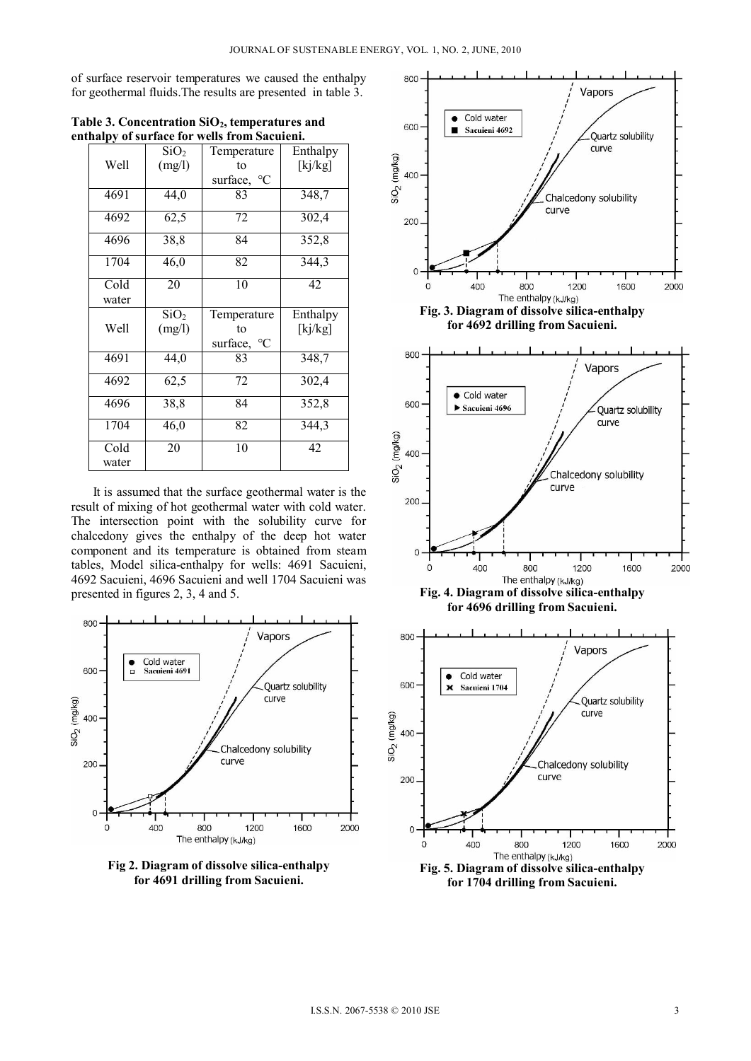of surface reservoir temperatures we caused the enthalpy for geothermal fluids.The results are presented in table 3.

| Table 3. Concentration $SiO2$ , temperatures and |
|--------------------------------------------------|
| enthalpy of surface for wells from Sacuieni.     |

|       | SiO <sub>2</sub> | Temperature                 | Enthalpy |
|-------|------------------|-----------------------------|----------|
| Well  | (mg/l)           | to                          | [kj/kg]  |
|       |                  | surface, °C                 |          |
| 4691  | 44,0             | 83                          | 348,7    |
| 4692  | 62,5             | 72                          | 302,4    |
| 4696  | 38,8             | 84                          | 352,8    |
| 1704  | 46,0             | 82                          | 344,3    |
| Cold  | 20               | 10                          | 42       |
| water |                  |                             |          |
|       | SiO <sub>2</sub> | Temperature                 | Enthalpy |
|       |                  |                             |          |
| Well  | (mg/l)           | to                          | [kj/kg]  |
|       |                  | $\rm ^{\circ}C$<br>surface, |          |
| 4691  | 44,0             | 83                          | 348,7    |
| 4692  | 62,5             | 72                          | 302,4    |
| 4696  | 38,8             | 84                          | 352,8    |
| 1704  | 46,0             | 82                          | 344,3    |
| Cold  | 20               | 10                          | 42       |

It is assumed that the surface geothermal water is the result of mixing of hot geothermal water with cold water. The intersection point with the solubility curve for chalcedony gives the enthalpy of the deep hot water component and its temperature is obtained from steam tables, Model silica-enthalpy for wells: 4691 Sacuieni, 4692 Sacuieni, 4696 Sacuieni and well 1704 Sacuieni was presented in figures 2, 3, 4 and 5.



**Fig 2. Diagram of dissolve silica-enthalpy for 4691 drilling from Sacuieni.** 



**for 1704 drilling from Sacuieni.**